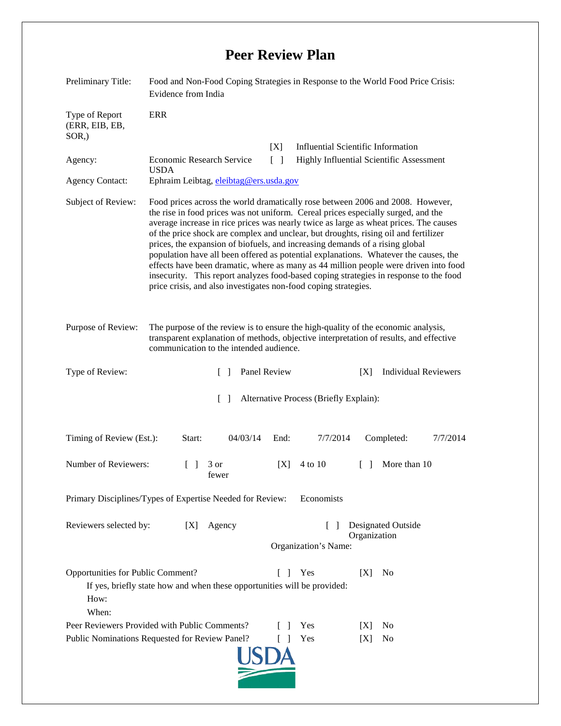## **Peer Review Plan**

| Preliminary Title:                                                                                                                                            | Food and Non-Food Coping Strategies in Response to the World Food Price Crisis:<br>Evidence from India                                                                                                                                                                                                                                                                                                                                                                                                                                                                                                                                                                                                                                                                          |                                                                                   |                                    |        |                             |          |
|---------------------------------------------------------------------------------------------------------------------------------------------------------------|---------------------------------------------------------------------------------------------------------------------------------------------------------------------------------------------------------------------------------------------------------------------------------------------------------------------------------------------------------------------------------------------------------------------------------------------------------------------------------------------------------------------------------------------------------------------------------------------------------------------------------------------------------------------------------------------------------------------------------------------------------------------------------|-----------------------------------------------------------------------------------|------------------------------------|--------|-----------------------------|----------|
| Type of Report<br>(ERR, EIB, EB,<br>$SOR$ <sub>,</sub> )                                                                                                      | <b>ERR</b>                                                                                                                                                                                                                                                                                                                                                                                                                                                                                                                                                                                                                                                                                                                                                                      |                                                                                   |                                    |        |                             |          |
|                                                                                                                                                               |                                                                                                                                                                                                                                                                                                                                                                                                                                                                                                                                                                                                                                                                                                                                                                                 | [X]                                                                               | Influential Scientific Information |        |                             |          |
| Agency:                                                                                                                                                       | <b>Economic Research Service</b><br>Highly Influential Scientific Assessment<br>$\lceil \rceil$<br><b>USDA</b>                                                                                                                                                                                                                                                                                                                                                                                                                                                                                                                                                                                                                                                                  |                                                                                   |                                    |        |                             |          |
| <b>Agency Contact:</b>                                                                                                                                        | Ephraim Leibtag, eleibtag@ers.usda.gov                                                                                                                                                                                                                                                                                                                                                                                                                                                                                                                                                                                                                                                                                                                                          |                                                                                   |                                    |        |                             |          |
| Subject of Review:                                                                                                                                            | Food prices across the world dramatically rose between 2006 and 2008. However,<br>the rise in food prices was not uniform. Cereal prices especially surged, and the<br>average increase in rice prices was nearly twice as large as wheat prices. The causes<br>of the price shock are complex and unclear, but droughts, rising oil and fertilizer<br>prices, the expansion of biofuels, and increasing demands of a rising global<br>population have all been offered as potential explanations. Whatever the causes, the<br>effects have been dramatic, where as many as 44 million people were driven into food<br>insecurity. This report analyzes food-based coping strategies in response to the food<br>price crisis, and also investigates non-food coping strategies. |                                                                                   |                                    |        |                             |          |
| Purpose of Review:                                                                                                                                            | The purpose of the review is to ensure the high-quality of the economic analysis,<br>transparent explanation of methods, objective interpretation of results, and effective<br>communication to the intended audience.                                                                                                                                                                                                                                                                                                                                                                                                                                                                                                                                                          |                                                                                   |                                    |        |                             |          |
| Type of Review:                                                                                                                                               | $\Box$                                                                                                                                                                                                                                                                                                                                                                                                                                                                                                                                                                                                                                                                                                                                                                          | Panel Review                                                                      |                                    | [X]    | <b>Individual Reviewers</b> |          |
| Alternative Process (Briefly Explain):<br>$\mathbf{L}$                                                                                                        |                                                                                                                                                                                                                                                                                                                                                                                                                                                                                                                                                                                                                                                                                                                                                                                 |                                                                                   |                                    |        |                             |          |
| Timing of Review (Est.):                                                                                                                                      | Start:<br>04/03/14                                                                                                                                                                                                                                                                                                                                                                                                                                                                                                                                                                                                                                                                                                                                                              | End:                                                                              | 7/7/2014                           |        | Completed:                  | 7/7/2014 |
| Number of Reviewers:                                                                                                                                          | 3 or<br>$\Box$<br>fewer                                                                                                                                                                                                                                                                                                                                                                                                                                                                                                                                                                                                                                                                                                                                                         | [X]                                                                               | 4 to 10                            | $\Box$ | More than 10                |          |
| Primary Disciplines/Types of Expertise Needed for Review:<br>Economists                                                                                       |                                                                                                                                                                                                                                                                                                                                                                                                                                                                                                                                                                                                                                                                                                                                                                                 |                                                                                   |                                    |        |                             |          |
| Reviewers selected by:<br>Agency<br>[X]                                                                                                                       |                                                                                                                                                                                                                                                                                                                                                                                                                                                                                                                                                                                                                                                                                                                                                                                 | <b>Designated Outside</b><br>$\mathbf{1}$<br>Organization<br>Organization's Name: |                                    |        |                             |          |
| Opportunities for Public Comment?<br>Yes<br>[X]<br>No<br>L<br>-1<br>If yes, briefly state how and when these opportunities will be provided:<br>How:<br>When: |                                                                                                                                                                                                                                                                                                                                                                                                                                                                                                                                                                                                                                                                                                                                                                                 |                                                                                   |                                    |        |                             |          |
| Peer Reviewers Provided with Public Comments?                                                                                                                 |                                                                                                                                                                                                                                                                                                                                                                                                                                                                                                                                                                                                                                                                                                                                                                                 |                                                                                   | Yes                                | X      | N <sub>0</sub>              |          |
| Public Nominations Requested for Review Panel?<br>Yes<br>N <sub>0</sub><br>L<br>[X]                                                                           |                                                                                                                                                                                                                                                                                                                                                                                                                                                                                                                                                                                                                                                                                                                                                                                 |                                                                                   |                                    |        |                             |          |